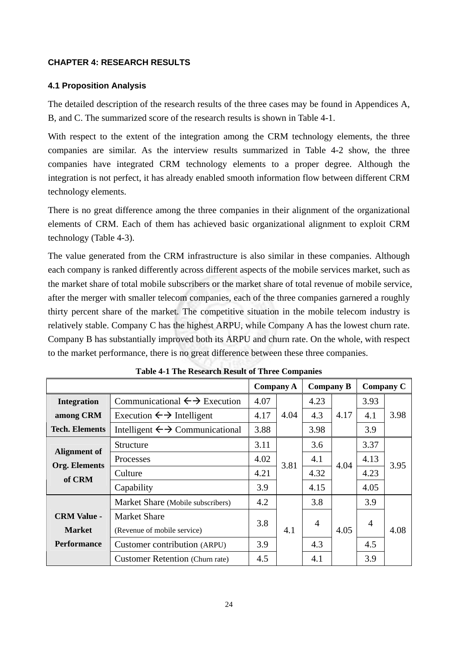## **CHAPTER 4: RESEARCH RESULTS**

### **4.1 Proposition Analysis**

The detailed description of the research results of the three cases may be found in Appendices A, B, and C. The summarized score of the research results is shown in Table 4-1.

With respect to the extent of the integration among the CRM technology elements, the three companies are similar. As the interview results summarized in Table 4-2 show, the three companies have integrated CRM technology elements to a proper degree. Although the integration is not perfect, it has already enabled smooth information flow between different CRM technology elements.

There is no great difference among the three companies in their alignment of the organizational elements of CRM. Each of them has achieved basic organizational alignment to exploit CRM technology (Table 4-3).

The value generated from the CRM infrastructure is also similar in these companies. Although each company is ranked differently across different aspects of the mobile services market, such as the market share of total mobile subscribers or the market share of total revenue of mobile service, after the merger with smaller telecom companies, each of the three companies garnered a roughly thirty percent share of the market. The competitive situation in the mobile telecom industry is relatively stable. Company C has the highest ARPU, while Company A has the lowest churn rate. Company B has substantially improved both its ARPU and churn rate. On the whole, with respect to the market performance, there is no great difference between these three companies.

|                                                       |                                                         | <b>Company A</b> |      | <b>Company B</b> |      |      | <b>Company C</b> |
|-------------------------------------------------------|---------------------------------------------------------|------------------|------|------------------|------|------|------------------|
| <b>Integration</b>                                    | Communicational $\leftrightarrow$ Execution             | 4.07             |      | 4.23             |      | 3.93 |                  |
| among CRM                                             | 4.04<br>4.17<br>Execution $\leftrightarrow$ Intelligent |                  | 4.3  | 4.17             | 4.1  | 3.98 |                  |
| <b>Tech. Elements</b>                                 | Intelligent $\leftrightarrow$ Communicational           | 3.88             |      | 3.98             |      | 3.9  |                  |
|                                                       | Structure                                               | 3.11             |      | 3.6              | 4.04 | 3.37 | 3.95             |
| <b>Alignment of</b><br><b>Org. Elements</b><br>of CRM | Processes                                               | 4.02             | 3.81 | 4.1              |      | 4.13 |                  |
|                                                       | Culture                                                 | 4.21             |      | 4.32             |      | 4.23 |                  |
|                                                       | Capability                                              | 3.9              | 4.15 |                  |      | 4.05 |                  |
|                                                       | Market Share (Mobile subscribers)                       | 4.2              |      | 3.8              |      | 3.9  |                  |
| <b>CRM Value -</b>                                    | <b>Market Share</b>                                     |                  |      | $\overline{4}$   |      |      |                  |
| <b>Market</b>                                         | (Revenue of mobile service)                             | 3.8              | 4.1  | 4.05             | 4    | 4.08 |                  |
| <b>Performance</b>                                    | Customer contribution (ARPU)                            | 3.9              |      | 4.3              |      | 4.5  |                  |
|                                                       | <b>Customer Retention (Churn rate)</b>                  | 4.5              |      | 4.1              |      | 3.9  |                  |

**Table 4-1 The Research Result of Three Companies**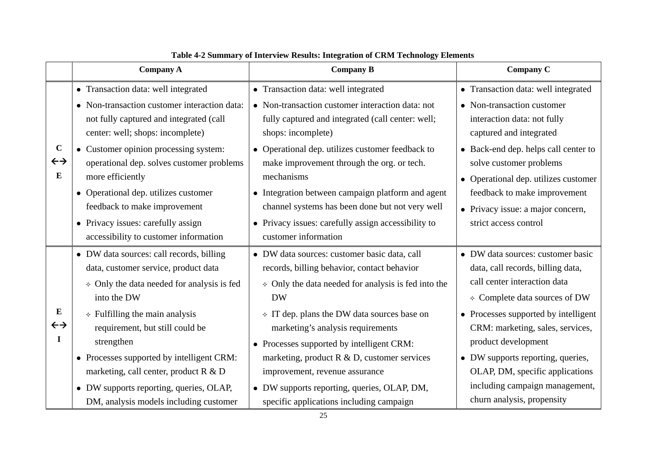|                                               | <b>Company A</b>                                                                                                                                    | <b>Company B</b>                                                                                                                                                                    | <b>Company C</b>                                                                                        |
|-----------------------------------------------|-----------------------------------------------------------------------------------------------------------------------------------------------------|-------------------------------------------------------------------------------------------------------------------------------------------------------------------------------------|---------------------------------------------------------------------------------------------------------|
|                                               | • Transaction data: well integrated                                                                                                                 | • Transaction data: well integrated                                                                                                                                                 | • Transaction data: well integrated                                                                     |
| $\mathbf C$<br>$\leftrightarrow$<br>${\bf E}$ | • Non-transaction customer interaction data:<br>not fully captured and integrated (call<br>center: well; shops: incomplete)                         | • Non-transaction customer interaction data: not<br>fully captured and integrated (call center: well;<br>shops: incomplete)                                                         | • Non-transaction customer<br>interaction data: not fully<br>captured and integrated                    |
|                                               | • Customer opinion processing system:<br>operational dep. solves customer problems<br>more efficiently                                              | • Operational dep. utilizes customer feedback to<br>make improvement through the org. or tech.<br>mechanisms                                                                        | • Back-end dep. helps call center to<br>solve customer problems<br>• Operational dep. utilizes customer |
|                                               | • Operational dep. utilizes customer<br>feedback to make improvement<br>• Privacy issues: carefully assign<br>accessibility to customer information | • Integration between campaign platform and agent<br>channel systems has been done but not very well<br>• Privacy issues: carefully assign accessibility to<br>customer information | feedback to make improvement<br>• Privacy issue: a major concern,<br>strict access control              |
|                                               | • DW data sources: call records, billing                                                                                                            | • DW data sources: customer basic data, call                                                                                                                                        | • DW data sources: customer basic                                                                       |
|                                               | data, customer service, product data                                                                                                                | records, billing behavior, contact behavior                                                                                                                                         | data, call records, billing data,                                                                       |
| ${\bf E}$<br>$\leftrightarrow$<br>I           | $\lozenge$ Only the data needed for analysis is fed                                                                                                 | $\lozenge$ Only the data needed for analysis is fed into the                                                                                                                        | call center interaction data                                                                            |
|                                               | into the DW                                                                                                                                         | <b>DW</b>                                                                                                                                                                           | ♦ Complete data sources of DW                                                                           |
|                                               | $\div$ Fulfilling the main analysis<br>requirement, but still could be<br>strengthen                                                                | $\div$ IT dep. plans the DW data sources base on<br>marketing's analysis requirements<br>• Processes supported by intelligent CRM:                                                  | • Processes supported by intelligent<br>CRM: marketing, sales, services,<br>product development         |
|                                               | • Processes supported by intelligent CRM:                                                                                                           | marketing, product $R \& D$ , customer services                                                                                                                                     | • DW supports reporting, queries,                                                                       |
|                                               | marketing, call center, product R & D                                                                                                               | improvement, revenue assurance                                                                                                                                                      | OLAP, DM, specific applications                                                                         |
|                                               | • DW supports reporting, queries, OLAP,                                                                                                             | • DW supports reporting, queries, OLAP, DM,                                                                                                                                         | including campaign management,                                                                          |
|                                               | DM, analysis models including customer                                                                                                              | specific applications including campaign                                                                                                                                            | churn analysis, propensity                                                                              |

| Table 4-2 Summary of Interview Results: Integration of CRM Technology Elements |  |  |  |  |
|--------------------------------------------------------------------------------|--|--|--|--|
|--------------------------------------------------------------------------------|--|--|--|--|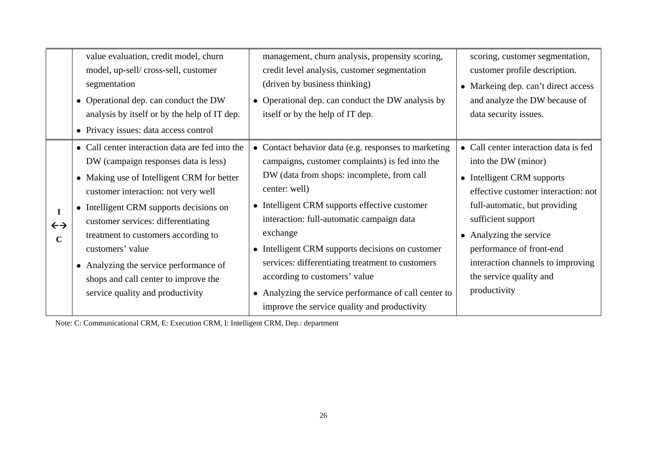|                                                 | value evaluation, credit model, churn<br>model, up-sell/cross-sell, customer<br>segmentation<br>• Operational dep. can conduct the DW<br>analysis by itself or by the help of IT dep.<br>• Privacy issues: data access control                                                                                                                                                                                                                 | management, churn analysis, propensity scoring,<br>credit level analysis, customer segmentation<br>(driven by business thinking)<br>• Operational dep. can conduct the DW analysis by<br>itself or by the help of IT dep.                                                                                                                                                                                                                                                                                                        | scoring, customer segmentation,<br>customer profile description.<br>• Markeing dep. can't direct access<br>and analyze the DW because of<br>data security issues.                                                                                                                                                               |
|-------------------------------------------------|------------------------------------------------------------------------------------------------------------------------------------------------------------------------------------------------------------------------------------------------------------------------------------------------------------------------------------------------------------------------------------------------------------------------------------------------|----------------------------------------------------------------------------------------------------------------------------------------------------------------------------------------------------------------------------------------------------------------------------------------------------------------------------------------------------------------------------------------------------------------------------------------------------------------------------------------------------------------------------------|---------------------------------------------------------------------------------------------------------------------------------------------------------------------------------------------------------------------------------------------------------------------------------------------------------------------------------|
| $\mathbf I$<br>$\leftrightarrow$<br>$\mathbf C$ | • Call center interaction data are fed into the<br>DW (campaign responses data is less)<br>• Making use of Intelligent CRM for better<br>customer interaction: not very well<br>• Intelligent CRM supports decisions on<br>customer services: differentiating<br>treatment to customers according to<br>customers' value<br>• Analyzing the service performance of<br>shops and call center to improve the<br>service quality and productivity | Contact behavior data (e.g. responses to marketing<br>campaigns, customer complaints) is fed into the<br>DW (data from shops: incomplete, from call<br>center: well)<br>• Intelligent CRM supports effective customer<br>interaction: full-automatic campaign data<br>exchange<br>• Intelligent CRM supports decisions on customer<br>services: differentiating treatment to customers<br>according to customers' value<br>• Analyzing the service performance of call center to<br>improve the service quality and productivity | • Call center interaction data is fed<br>into the DW (minor)<br>• Intelligent CRM supports<br>effective customer interaction: not<br>full-automatic, but providing<br>sufficient support<br>• Analyzing the service<br>performance of front-end<br>interaction channels to improving<br>the service quality and<br>productivity |

Note: C: Communicational CRM, E: Execution CRM, I: Intelligent CRM, Dep.: department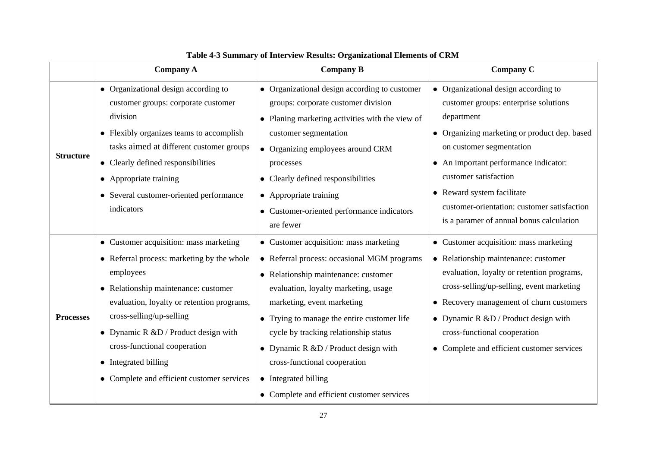|                  | <b>Company A</b>                                                                                                                                                                                                                                                                                                                                                  | <b>Company B</b>                                                                                                                                                                                                                                                                                                                                                                                                                          | Company C                                                                                                                                                                                                                                                                                                                                                          |
|------------------|-------------------------------------------------------------------------------------------------------------------------------------------------------------------------------------------------------------------------------------------------------------------------------------------------------------------------------------------------------------------|-------------------------------------------------------------------------------------------------------------------------------------------------------------------------------------------------------------------------------------------------------------------------------------------------------------------------------------------------------------------------------------------------------------------------------------------|--------------------------------------------------------------------------------------------------------------------------------------------------------------------------------------------------------------------------------------------------------------------------------------------------------------------------------------------------------------------|
| <b>Structure</b> | • Organizational design according to<br>customer groups: corporate customer<br>division<br>• Flexibly organizes teams to accomplish<br>tasks aimed at different customer groups<br>• Clearly defined responsibilities<br>• Appropriate training<br>• Several customer-oriented performance<br>indicators                                                          | • Organizational design according to customer<br>groups: corporate customer division<br>• Planing marketing activities with the view of<br>customer segmentation<br>• Organizing employees around CRM<br>processes<br>• Clearly defined responsibilities<br>• Appropriate training<br>• Customer-oriented performance indicators<br>are fewer                                                                                             | • Organizational design according to<br>customer groups: enterprise solutions<br>department<br>• Organizing marketing or product dep. based<br>on customer segmentation<br>• An important performance indicator:<br>customer satisfaction<br>• Reward system facilitate<br>customer-orientation: customer satisfaction<br>is a paramer of annual bonus calculation |
| <b>Processes</b> | • Customer acquisition: mass marketing<br>• Referral process: marketing by the whole<br>employees<br>• Relationship maintenance: customer<br>evaluation, loyalty or retention programs,<br>cross-selling/up-selling<br>• Dynamic R &D / Product design with<br>cross-functional cooperation<br>• Integrated billing<br>• Complete and efficient customer services | • Customer acquisition: mass marketing<br>• Referral process: occasional MGM programs<br>• Relationship maintenance: customer<br>evaluation, loyalty marketing, usage<br>marketing, event marketing<br>• Trying to manage the entire customer life<br>cycle by tracking relationship status<br>• Dynamic R &D / Product design with<br>cross-functional cooperation<br>• Integrated billing<br>• Complete and efficient customer services | • Customer acquisition: mass marketing<br>• Relationship maintenance: customer<br>evaluation, loyalty or retention programs,<br>cross-selling/up-selling, event marketing<br>• Recovery management of churn customers<br>• Dynamic R $&D /$ Product design with<br>cross-functional cooperation<br>• Complete and efficient customer services                      |

# **Table 4-3 Summary of Interview Results: Organizational Elements of CRM**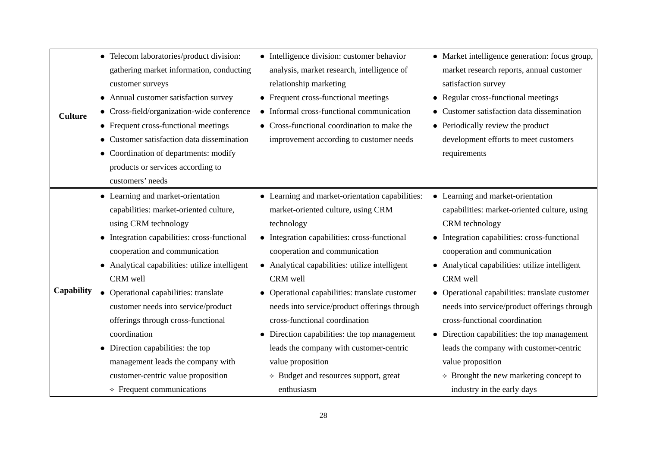|                | • Telecom laboratories/product division:       | • Intelligence division: customer behavior      | • Market intelligence generation: focus group,       |
|----------------|------------------------------------------------|-------------------------------------------------|------------------------------------------------------|
|                | gathering market information, conducting       | analysis, market research, intelligence of      | market research reports, annual customer             |
|                | customer surveys                               | relationship marketing                          | satisfaction survey                                  |
|                | • Annual customer satisfaction survey          | • Frequent cross-functional meetings            | • Regular cross-functional meetings                  |
| <b>Culture</b> | • Cross-field/organization-wide conference     | • Informal cross-functional communication       | • Customer satisfaction data dissemination           |
|                | • Frequent cross-functional meetings           | Cross-functional coordination to make the       | • Periodically review the product                    |
|                | • Customer satisfaction data dissemination     | improvement according to customer needs         | development efforts to meet customers                |
|                | • Coordination of departments: modify          |                                                 | requirements                                         |
|                | products or services according to              |                                                 |                                                      |
|                | customers' needs                               |                                                 |                                                      |
|                | • Learning and market-orientation              | • Learning and market-orientation capabilities: | • Learning and market-orientation                    |
|                | capabilities: market-oriented culture,         | market-oriented culture, using CRM              | capabilities: market-oriented culture, using         |
|                | using CRM technology                           | technology                                      | CRM technology                                       |
|                | • Integration capabilities: cross-functional   | • Integration capabilities: cross-functional    | • Integration capabilities: cross-functional         |
|                | cooperation and communication                  | cooperation and communication                   | cooperation and communication                        |
|                | • Analytical capabilities: utilize intelligent | • Analytical capabilities: utilize intelligent  | • Analytical capabilities: utilize intelligent       |
|                | CRM well                                       | CRM well                                        | CRM well                                             |
| Capability     | • Operational capabilities: translate          | • Operational capabilities: translate customer  | • Operational capabilities: translate customer       |
|                | customer needs into service/product            | needs into service/product offerings through    | needs into service/product offerings through         |
|                | offerings through cross-functional             | cross-functional coordination                   | cross-functional coordination                        |
|                | coordination                                   | • Direction capabilities: the top management    | $\bullet$ Direction capabilities: the top management |
|                | • Direction capabilities: the top              | leads the company with customer-centric         | leads the company with customer-centric              |
|                | management leads the company with              | value proposition                               | value proposition                                    |
|                | customer-centric value proposition             | $\triangle$ Budget and resources support, great | $\triangle$ Brought the new marketing concept to     |
|                | $\Diamond$ Frequent communications             | enthusiasm                                      | industry in the early days                           |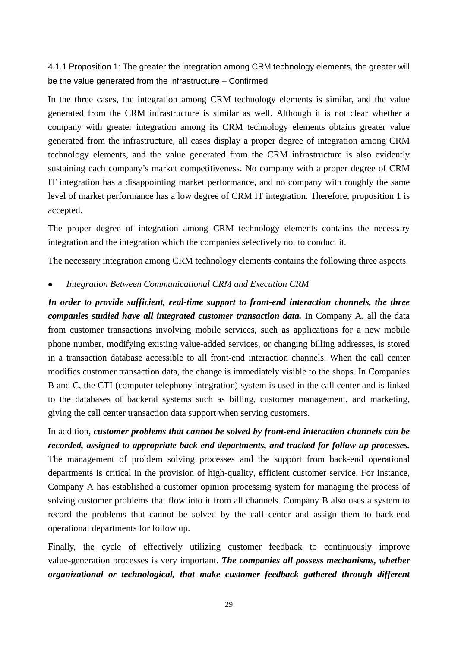4.1.1 Proposition 1: The greater the integration among CRM technology elements, the greater will be the value generated from the infrastructure – Confirmed

In the three cases, the integration among CRM technology elements is similar, and the value generated from the CRM infrastructure is similar as well. Although it is not clear whether a company with greater integration among its CRM technology elements obtains greater value generated from the infrastructure, all cases display a proper degree of integration among CRM technology elements, and the value generated from the CRM infrastructure is also evidently sustaining each company's market competitiveness. No company with a proper degree of CRM IT integration has a disappointing market performance, and no company with roughly the same level of market performance has a low degree of CRM IT integration. Therefore, proposition 1 is accepted.

The proper degree of integration among CRM technology elements contains the necessary integration and the integration which the companies selectively not to conduct it.

The necessary integration among CRM technology elements contains the following three aspects.

### • Integration Between Communicational CRM and Execution CRM

*In order to provide sufficient, real-time support to front-end interaction channels, the three companies studied have all integrated customer transaction data.* In Company A, all the data from customer transactions involving mobile services, such as applications for a new mobile phone number, modifying existing value-added services, or changing billing addresses, is stored in a transaction database accessible to all front-end interaction channels. When the call center modifies customer transaction data, the change is immediately visible to the shops. In Companies B and C, the CTI (computer telephony integration) system is used in the call center and is linked to the databases of backend systems such as billing, customer management, and marketing, giving the call center transaction data support when serving customers.

In addition, *customer problems that cannot be solved by front-end interaction channels can be recorded, assigned to appropriate back-end departments, and tracked for follow-up processes.* The management of problem solving processes and the support from back-end operational departments is critical in the provision of high-quality, efficient customer service. For instance, Company A has established a customer opinion processing system for managing the process of solving customer problems that flow into it from all channels. Company B also uses a system to record the problems that cannot be solved by the call center and assign them to back-end operational departments for follow up.

Finally, the cycle of effectively utilizing customer feedback to continuously improve value-generation processes is very important. *The companies all possess mechanisms, whether organizational or technological, that make customer feedback gathered through different*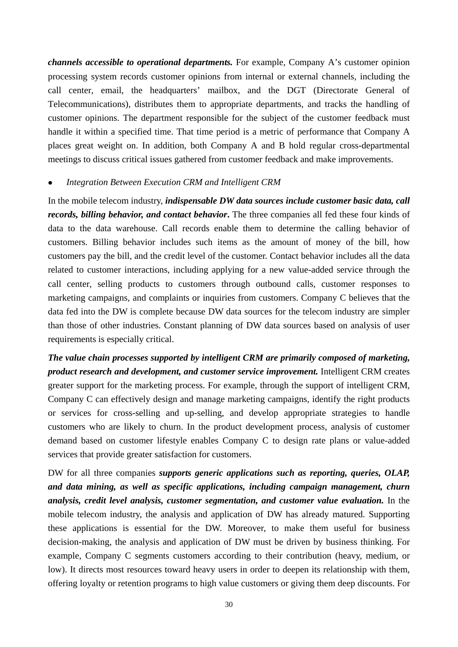*channels accessible to operational departments.* For example, Company A's customer opinion processing system records customer opinions from internal or external channels, including the call center, email, the headquarters' mailbox, and the DGT (Directorate General of Telecommunications), distributes them to appropriate departments, and tracks the handling of customer opinions. The department responsible for the subject of the customer feedback must handle it within a specified time. That time period is a metric of performance that Company A places great weight on. In addition, both Company A and B hold regular cross-departmental meetings to discuss critical issues gathered from customer feedback and make improvements.

### Integration Between Execution CRM and Intelligent CRM

In the mobile telecom industry, *indispensable DW data sources include customer basic data, call records, billing behavior, and contact behavior***.** The three companies all fed these four kinds of data to the data warehouse. Call records enable them to determine the calling behavior of customers. Billing behavior includes such items as the amount of money of the bill, how customers pay the bill, and the credit level of the customer. Contact behavior includes all the data related to customer interactions, including applying for a new value-added service through the call center, selling products to customers through outbound calls, customer responses to marketing campaigns, and complaints or inquiries from customers. Company C believes that the data fed into the DW is complete because DW data sources for the telecom industry are simpler than those of other industries. Constant planning of DW data sources based on analysis of user requirements is especially critical.

*The value chain processes supported by intelligent CRM are primarily composed of marketing, product research and development, and customer service improvement.* Intelligent CRM creates greater support for the marketing process. For example, through the support of intelligent CRM, Company C can effectively design and manage marketing campaigns, identify the right products or services for cross-selling and up-selling, and develop appropriate strategies to handle customers who are likely to churn. In the product development process, analysis of customer demand based on customer lifestyle enables Company C to design rate plans or value-added services that provide greater satisfaction for customers.

DW for all three companies *supports generic applications such as reporting, queries, OLAP, and data mining, as well as specific applications, including campaign management, churn analysis, credit level analysis, customer segmentation, and customer value evaluation.* In the mobile telecom industry, the analysis and application of DW has already matured. Supporting these applications is essential for the DW. Moreover, to make them useful for business decision-making, the analysis and application of DW must be driven by business thinking. For example, Company C segments customers according to their contribution (heavy, medium, or low). It directs most resources toward heavy users in order to deepen its relationship with them, offering loyalty or retention programs to high value customers or giving them deep discounts. For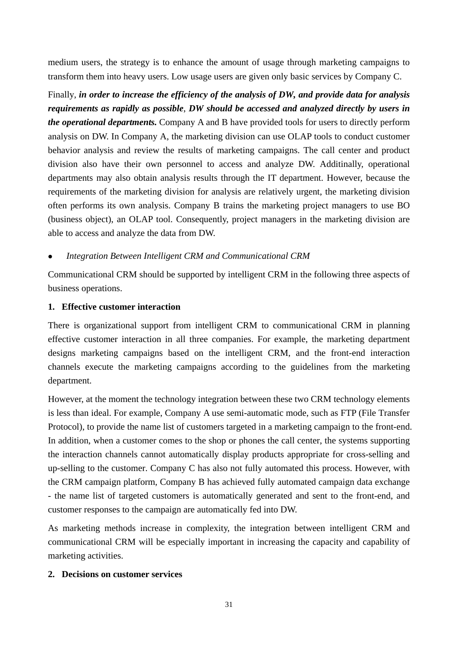medium users, the strategy is to enhance the amount of usage through marketing campaigns to transform them into heavy users. Low usage users are given only basic services by Company C.

Finally, *in order to increase the efficiency of the analysis of DW, and provide data for analysis requirements as rapidly as possible*, *DW should be accessed and analyzed directly by users in the operational departments.* Company A and B have provided tools for users to directly perform analysis on DW. In Company A, the marketing division can use OLAP tools to conduct customer behavior analysis and review the results of marketing campaigns. The call center and product division also have their own personnel to access and analyze DW. Additinally, operational departments may also obtain analysis results through the IT department. However, because the requirements of the marketing division for analysis are relatively urgent, the marketing division often performs its own analysis. Company B trains the marketing project managers to use BO (business object), an OLAP tool. Consequently, project managers in the marketing division are able to access and analyze the data from DW.

# <sup>z</sup> *Integration Between Intelligent CRM and Communicational CRM*

Communicational CRM should be supported by intelligent CRM in the following three aspects of business operations.

# **1. Effective customer interaction**

There is organizational support from intelligent CRM to communicational CRM in planning effective customer interaction in all three companies. For example, the marketing department designs marketing campaigns based on the intelligent CRM, and the front-end interaction channels execute the marketing campaigns according to the guidelines from the marketing department.

However, at the moment the technology integration between these two CRM technology elements is less than ideal. For example, Company A use semi-automatic mode, such as FTP (File Transfer Protocol), to provide the name list of customers targeted in a marketing campaign to the front-end. In addition, when a customer comes to the shop or phones the call center, the systems supporting the interaction channels cannot automatically display products appropriate for cross-selling and up-selling to the customer. Company C has also not fully automated this process. However, with the CRM campaign platform, Company B has achieved fully automated campaign data exchange - the name list of targeted customers is automatically generated and sent to the front-end, and customer responses to the campaign are automatically fed into DW.

As marketing methods increase in complexity, the integration between intelligent CRM and communicational CRM will be especially important in increasing the capacity and capability of marketing activities.

## **2. Decisions on customer services**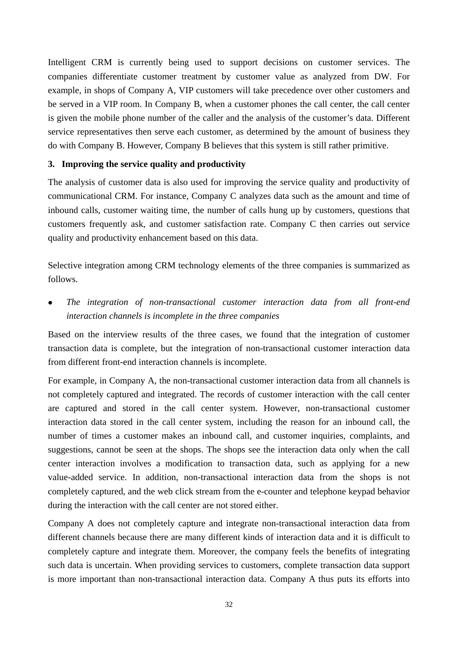Intelligent CRM is currently being used to support decisions on customer services. The companies differentiate customer treatment by customer value as analyzed from DW. For example, in shops of Company A, VIP customers will take precedence over other customers and be served in a VIP room. In Company B, when a customer phones the call center, the call center is given the mobile phone number of the caller and the analysis of the customer's data. Different service representatives then serve each customer, as determined by the amount of business they do with Company B. However, Company B believes that this system is still rather primitive.

### **3. Improving the service quality and productivity**

The analysis of customer data is also used for improving the service quality and productivity of communicational CRM. For instance, Company C analyzes data such as the amount and time of inbound calls, customer waiting time, the number of calls hung up by customers, questions that customers frequently ask, and customer satisfaction rate. Company C then carries out service quality and productivity enhancement based on this data.

Selective integration among CRM technology elements of the three companies is summarized as follows.

The integration of non-transactional customer interaction data from all front-end *interaction channels is incomplete in the three companies* 

Based on the interview results of the three cases, we found that the integration of customer transaction data is complete, but the integration of non-transactional customer interaction data from different front-end interaction channels is incomplete.

For example, in Company A, the non-transactional customer interaction data from all channels is not completely captured and integrated. The records of customer interaction with the call center are captured and stored in the call center system. However, non-transactional customer interaction data stored in the call center system, including the reason for an inbound call, the number of times a customer makes an inbound call, and customer inquiries, complaints, and suggestions, cannot be seen at the shops. The shops see the interaction data only when the call center interaction involves a modification to transaction data, such as applying for a new value-added service. In addition, non-transactional interaction data from the shops is not completely captured, and the web click stream from the e-counter and telephone keypad behavior during the interaction with the call center are not stored either.

Company A does not completely capture and integrate non-transactional interaction data from different channels because there are many different kinds of interaction data and it is difficult to completely capture and integrate them. Moreover, the company feels the benefits of integrating such data is uncertain. When providing services to customers, complete transaction data support is more important than non-transactional interaction data. Company A thus puts its efforts into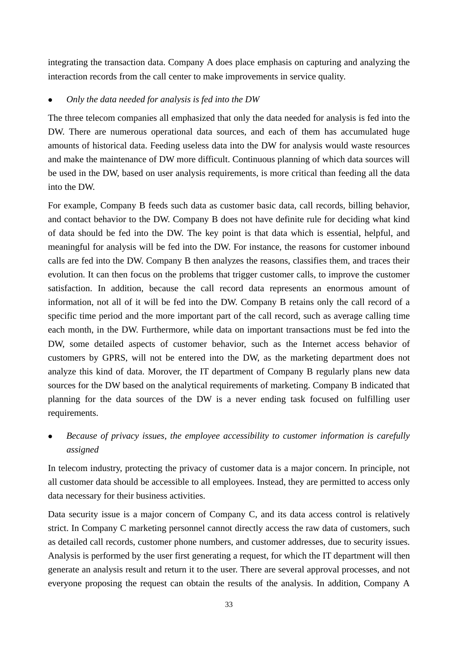integrating the transaction data. Company A does place emphasis on capturing and analyzing the interaction records from the call center to make improvements in service quality.

# <sup>z</sup> *Only the data needed for analysis is fed into the DW*

The three telecom companies all emphasized that only the data needed for analysis is fed into the DW. There are numerous operational data sources, and each of them has accumulated huge amounts of historical data. Feeding useless data into the DW for analysis would waste resources and make the maintenance of DW more difficult. Continuous planning of which data sources will be used in the DW, based on user analysis requirements, is more critical than feeding all the data into the DW.

For example, Company B feeds such data as customer basic data, call records, billing behavior, and contact behavior to the DW. Company B does not have definite rule for deciding what kind of data should be fed into the DW. The key point is that data which is essential, helpful, and meaningful for analysis will be fed into the DW. For instance, the reasons for customer inbound calls are fed into the DW. Company B then analyzes the reasons, classifies them, and traces their evolution. It can then focus on the problems that trigger customer calls, to improve the customer satisfaction. In addition, because the call record data represents an enormous amount of information, not all of it will be fed into the DW. Company B retains only the call record of a specific time period and the more important part of the call record, such as average calling time each month, in the DW. Furthermore, while data on important transactions must be fed into the DW, some detailed aspects of customer behavior, such as the Internet access behavior of customers by GPRS, will not be entered into the DW, as the marketing department does not analyze this kind of data. Morover, the IT department of Company B regularly plans new data sources for the DW based on the analytical requirements of marketing. Company B indicated that planning for the data sources of the DW is a never ending task focused on fulfilling user requirements.

<sup>z</sup> *Because of privacy issues, the employee accessibility to customer information is carefully assigned* 

In telecom industry, protecting the privacy of customer data is a major concern. In principle, not all customer data should be accessible to all employees. Instead, they are permitted to access only data necessary for their business activities.

Data security issue is a major concern of Company C, and its data access control is relatively strict. In Company C marketing personnel cannot directly access the raw data of customers, such as detailed call records, customer phone numbers, and customer addresses, due to security issues. Analysis is performed by the user first generating a request, for which the IT department will then generate an analysis result and return it to the user. There are several approval processes, and not everyone proposing the request can obtain the results of the analysis. In addition, Company A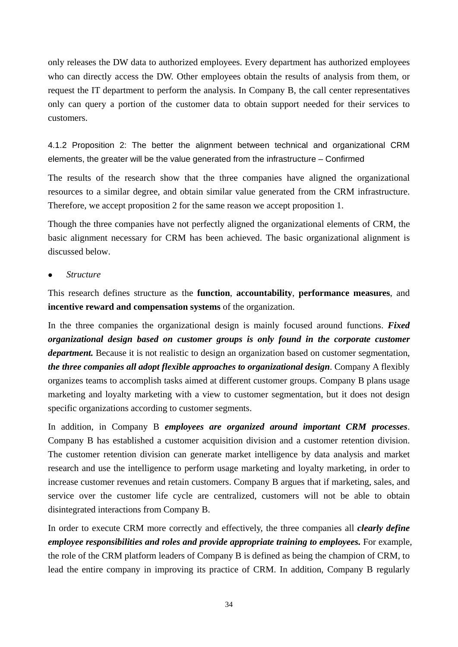only releases the DW data to authorized employees. Every department has authorized employees who can directly access the DW. Other employees obtain the results of analysis from them, or request the IT department to perform the analysis. In Company B, the call center representatives only can query a portion of the customer data to obtain support needed for their services to customers.

4.1.2 Proposition 2: The better the alignment between technical and organizational CRM elements, the greater will be the value generated from the infrastructure – Confirmed

The results of the research show that the three companies have aligned the organizational resources to a similar degree, and obtain similar value generated from the CRM infrastructure. Therefore, we accept proposition 2 for the same reason we accept proposition 1.

Though the three companies have not perfectly aligned the organizational elements of CRM, the basic alignment necessary for CRM has been achieved. The basic organizational alignment is discussed below.

<sup>z</sup> *Structure* 

This research defines structure as the **function**, **accountability**, **performance measures**, and **incentive reward and compensation systems** of the organization.

In the three companies the organizational design is mainly focused around functions. *Fixed organizational design based on customer groups is only found in the corporate customer department*. Because it is not realistic to design an organization based on customer segmentation, *the three companies all adopt flexible approaches to organizational design*. Company A flexibly organizes teams to accomplish tasks aimed at different customer groups. Company B plans usage marketing and loyalty marketing with a view to customer segmentation, but it does not design specific organizations according to customer segments.

In addition, in Company B *employees are organized around important CRM processes*. Company B has established a customer acquisition division and a customer retention division. The customer retention division can generate market intelligence by data analysis and market research and use the intelligence to perform usage marketing and loyalty marketing, in order to increase customer revenues and retain customers. Company B argues that if marketing, sales, and service over the customer life cycle are centralized, customers will not be able to obtain disintegrated interactions from Company B.

In order to execute CRM more correctly and effectively, the three companies all *clearly define employee responsibilities and roles and provide appropriate training to employees.* For example, the role of the CRM platform leaders of Company B is defined as being the champion of CRM, to lead the entire company in improving its practice of CRM. In addition, Company B regularly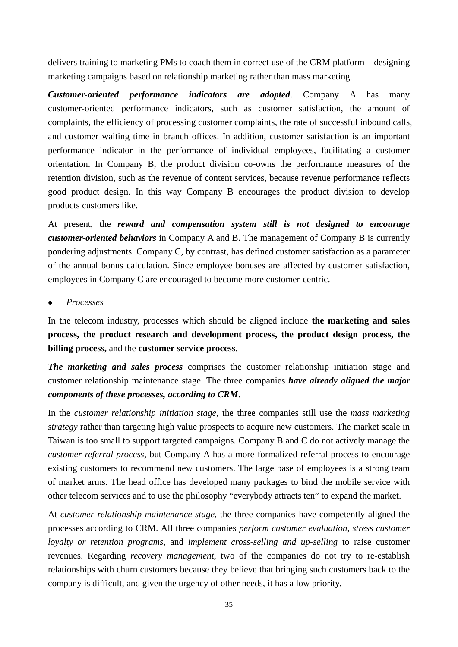delivers training to marketing PMs to coach them in correct use of the CRM platform – designing marketing campaigns based on relationship marketing rather than mass marketing.

*Customer-oriented performance indicators are adopted*. Company A has many customer-oriented performance indicators, such as customer satisfaction, the amount of complaints, the efficiency of processing customer complaints, the rate of successful inbound calls, and customer waiting time in branch offices. In addition, customer satisfaction is an important performance indicator in the performance of individual employees, facilitating a customer orientation. In Company B, the product division co-owns the performance measures of the retention division, such as the revenue of content services, because revenue performance reflects good product design. In this way Company B encourages the product division to develop products customers like.

At present, the *reward and compensation system still is not designed to encourage customer-oriented behaviors* in Company A and B. The management of Company B is currently pondering adjustments. Company C, by contrast, has defined customer satisfaction as a parameter of the annual bonus calculation. Since employee bonuses are affected by customer satisfaction, employees in Company C are encouraged to become more customer-centric.

<sup>z</sup> *Processes* 

In the telecom industry, processes which should be aligned include **the marketing and sales process, the product research and development process, the product design process, the billing process,** and the **customer service process**.

*The marketing and sales process* comprises the customer relationship initiation stage and customer relationship maintenance stage. The three companies *have already aligned the major components of these processes, according to CRM*.

In the *customer relationship initiation stage*, the three companies still use the *mass marketing strategy* rather than targeting high value prospects to acquire new customers. The market scale in Taiwan is too small to support targeted campaigns. Company B and C do not actively manage the *customer referral process*, but Company A has a more formalized referral process to encourage existing customers to recommend new customers. The large base of employees is a strong team of market arms. The head office has developed many packages to bind the mobile service with other telecom services and to use the philosophy "everybody attracts ten" to expand the market.

At *customer relationship maintenance stage*, the three companies have competently aligned the processes according to CRM. All three companies *perform customer evaluation, stress customer loyalty or retention programs*, and *implement cross-selling and up-selling* to raise customer revenues. Regarding *recovery management*, two of the companies do not try to re-establish relationships with churn customers because they believe that bringing such customers back to the company is difficult, and given the urgency of other needs, it has a low priority.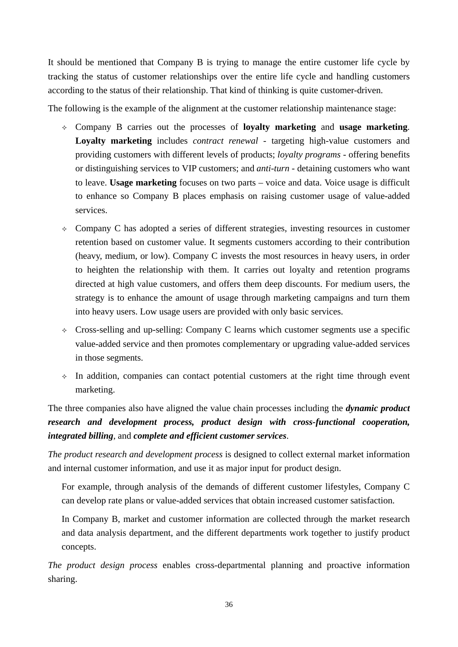It should be mentioned that Company B is trying to manage the entire customer life cycle by tracking the status of customer relationships over the entire life cycle and handling customers according to the status of their relationship. That kind of thinking is quite customer-driven.

The following is the example of the alignment at the customer relationship maintenance stage:

- Company B carries out the processes of **loyalty marketing** and **usage marketing**. **Loyalty marketing** includes *contract renewal* - targeting high-value customers and providing customers with different levels of products; *loyalty programs* - offering benefits or distinguishing services to VIP customers; and *anti-turn* - detaining customers who want to leave. **Usage marketing** focuses on two parts – voice and data. Voice usage is difficult to enhance so Company B places emphasis on raising customer usage of value-added services.
- $\Diamond$  Company C has adopted a series of different strategies, investing resources in customer retention based on customer value. It segments customers according to their contribution (heavy, medium, or low). Company C invests the most resources in heavy users, in order to heighten the relationship with them. It carries out loyalty and retention programs directed at high value customers, and offers them deep discounts. For medium users, the strategy is to enhance the amount of usage through marketing campaigns and turn them into heavy users. Low usage users are provided with only basic services.
- $\Diamond$  Cross-selling and up-selling: Company C learns which customer segments use a specific value-added service and then promotes complementary or upgrading value-added services in those segments.
- $\lozenge$  In addition, companies can contact potential customers at the right time through event marketing.

The three companies also have aligned the value chain processes including the *dynamic product research and development process, product design with cross-functional cooperation, integrated billing*, and *complete and efficient customer services*.

*The product research and development process* is designed to collect external market information and internal customer information, and use it as major input for product design.

For example, through analysis of the demands of different customer lifestyles, Company C can develop rate plans or value-added services that obtain increased customer satisfaction.

In Company B, market and customer information are collected through the market research and data analysis department, and the different departments work together to justify product concepts.

*The product design process* enables cross-departmental planning and proactive information sharing.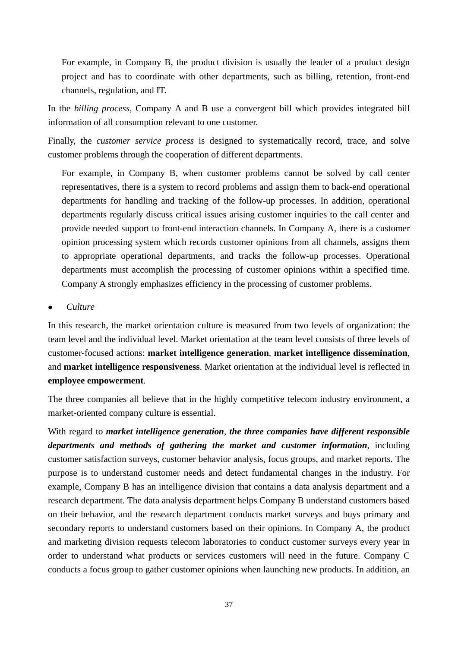For example, in Company B, the product division is usually the leader of a product design project and has to coordinate with other departments, such as billing, retention, front-end channels, regulation, and IT.

In the *billing process*, Company A and B use a convergent bill which provides integrated bill information of all consumption relevant to one customer.

Finally, the *customer service process* is designed to systematically record, trace, and solve customer problems through the cooperation of different departments.

For example, in Company B, when customer problems cannot be solved by call center representatives, there is a system to record problems and assign them to back-end operational departments for handling and tracking of the follow-up processes. In addition, operational departments regularly discuss critical issues arising customer inquiries to the call center and provide needed support to front-end interaction channels. In Company A, there is a customer opinion processing system which records customer opinions from all channels, assigns them to appropriate operational departments, and tracks the follow-up processes. Operational departments must accomplish the processing of customer opinions within a specified time. Company A strongly emphasizes efficiency in the processing of customer problems.

### <sup>z</sup> *Culture*

In this research, the market orientation culture is measured from two levels of organization: the team level and the individual level. Market orientation at the team level consists of three levels of customer-focused actions: **market intelligence generation**, **market intelligence dissemination**, and **market intelligence responsiveness**. Market orientation at the individual level is reflected in **employee empowerment**.

The three companies all believe that in the highly competitive telecom industry environment, a market-oriented company culture is essential.

With regard to *market intelligence generation*, *the three companies have different responsible departments and methods of gathering the market and customer information*, including customer satisfaction surveys, customer behavior analysis, focus groups, and market reports. The purpose is to understand customer needs and detect fundamental changes in the industry. For example, Company B has an intelligence division that contains a data analysis department and a research department. The data analysis department helps Company B understand customers based on their behavior, and the research department conducts market surveys and buys primary and secondary reports to understand customers based on their opinions. In Company A, the product and marketing division requests telecom laboratories to conduct customer surveys every year in order to understand what products or services customers will need in the future. Company C conducts a focus group to gather customer opinions when launching new products. In addition, an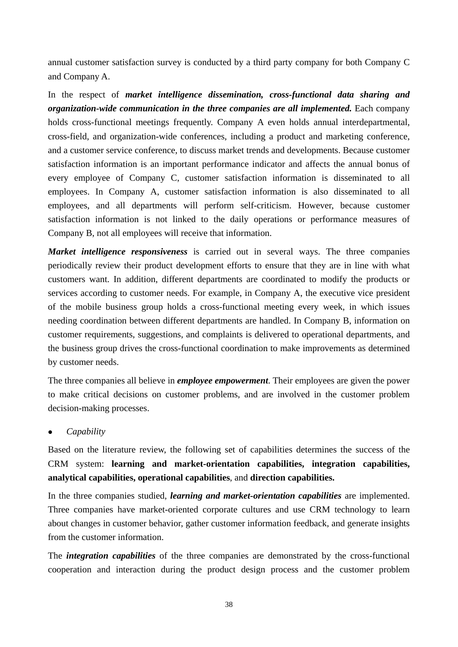annual customer satisfaction survey is conducted by a third party company for both Company C and Company A.

In the respect of *market intelligence dissemination, cross-functional data sharing and organization-wide communication in the three companies are all implemented.* Each company holds cross-functional meetings frequently. Company A even holds annual interdepartmental, cross-field, and organization-wide conferences, including a product and marketing conference, and a customer service conference, to discuss market trends and developments. Because customer satisfaction information is an important performance indicator and affects the annual bonus of every employee of Company C, customer satisfaction information is disseminated to all employees. In Company A, customer satisfaction information is also disseminated to all employees, and all departments will perform self-criticism. However, because customer satisfaction information is not linked to the daily operations or performance measures of Company B, not all employees will receive that information.

*Market intelligence responsiveness* is carried out in several ways. The three companies periodically review their product development efforts to ensure that they are in line with what customers want. In addition, different departments are coordinated to modify the products or services according to customer needs. For example, in Company A, the executive vice president of the mobile business group holds a cross-functional meeting every week, in which issues needing coordination between different departments are handled. In Company B, information on customer requirements, suggestions, and complaints is delivered to operational departments, and the business group drives the cross-functional coordination to make improvements as determined by customer needs.

The three companies all believe in *employee empowerment*. Their employees are given the power to make critical decisions on customer problems, and are involved in the customer problem decision-making processes.

## <sup>z</sup> *Capability*

Based on the literature review, the following set of capabilities determines the success of the CRM system: **learning and market-orientation capabilities, integration capabilities, analytical capabilities, operational capabilities**, and **direction capabilities.** 

In the three companies studied, *learning and market-orientation capabilities* are implemented. Three companies have market-oriented corporate cultures and use CRM technology to learn about changes in customer behavior, gather customer information feedback, and generate insights from the customer information.

The *integration capabilities* of the three companies are demonstrated by the cross-functional cooperation and interaction during the product design process and the customer problem